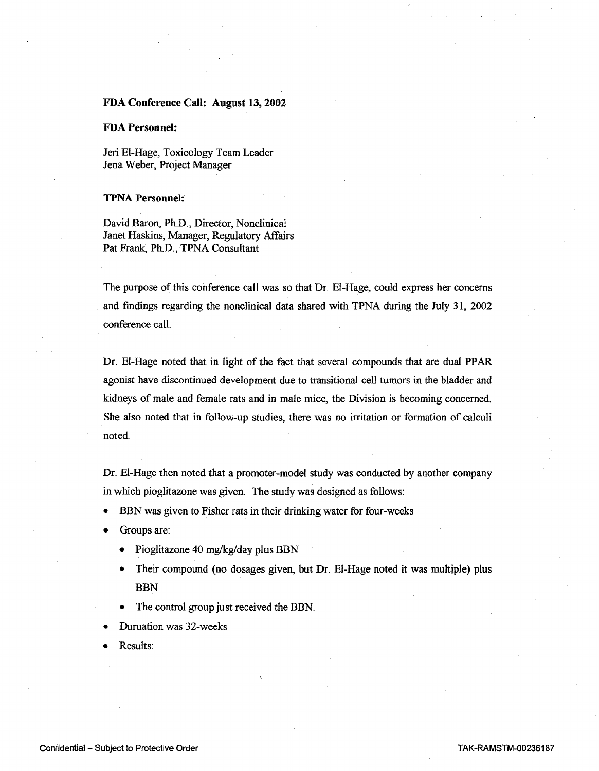## **FDA Conference Call: August 13, 2002**

## **FDA Personnel:**

Jeri El-Hage, Toxicology Team Leader Jena Weber, Project Manager

## **TPNA Personnel:**

David Baron, Ph.D., Director, Nonclinical Janet Haskins, Manager, Regulatory Affairs Pat Frank, Ph.D., TPNA Consultant

The purpose of this conference call was so that Dr. El-Hage, could express her concerns and findings regarding the nonclinical data shared with TPNA during the July 31, 2002 conference call.

Dr. El-Hage noted that in light of the fact that several compounds that are dual PPAR agonist have discontinued development due to transitional cell tumors in the bladder and kidneys of male and female rats and in male mice, the Division is becoming concerned. She also noted that in follow-up studies, there was no irritation or formation of calculi noted.

Dr. El-Hage then noted that a promoter-model study was conducted by another company in which pioglitazone was given. The study was designed as follows:

- BBN was given to Fisher rats in their drinking water for four-weeks
- Groups are:
	- Pioglitazone 40 mg/kg/day plus BBN
	- Their compound (no dosages given, but Dr. El-Hage noted it was multiple) plus BBN
	- The control group just received the BBN.
- Duruation was 32-weeks
- Results: